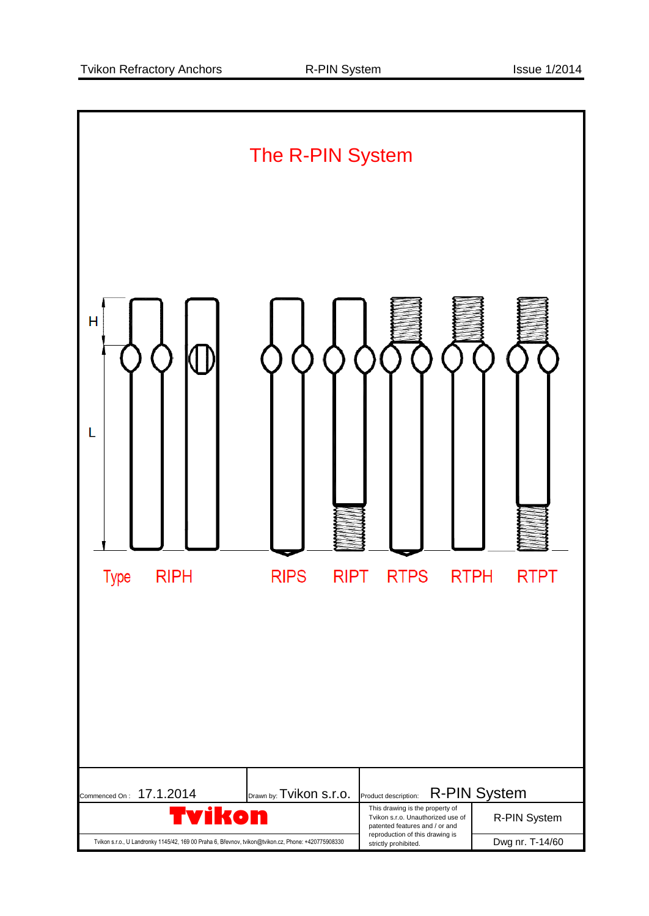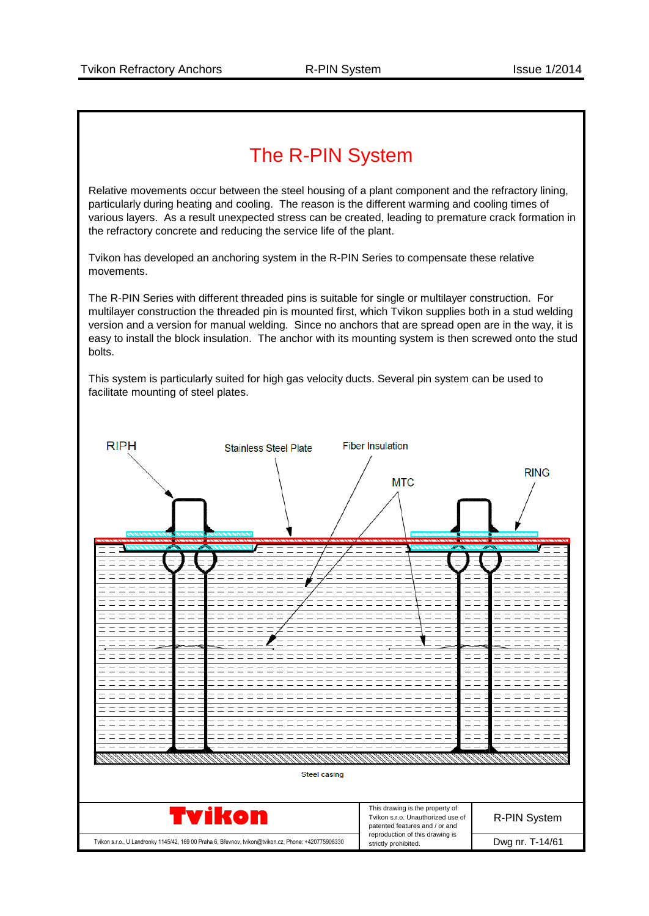## The R-PIN System

Relative movements occur between the steel housing of a plant component and the refractory lining, particularly during heating and cooling. The reason is the different warming and cooling times of various layers. As a result unexpected stress can be created, leading to premature crack formation in the refractory concrete and reducing the service life of the plant.

Tvikon has developed an anchoring system in the R-PIN Series to compensate these relative movements.

The R-PIN Series with different threaded pins is suitable for single or multilayer construction. For multilayer construction the threaded pin is mounted first, which Tvikon supplies both in a stud welding version and a version for manual welding. Since no anchors that are spread open are in the way, it is easy to install the block insulation. The anchor with its mounting system is then screwed onto the stud bolts.

This system is particularly suited for high gas velocity ducts. Several pin system can be used to facilitate mounting of steel plates.

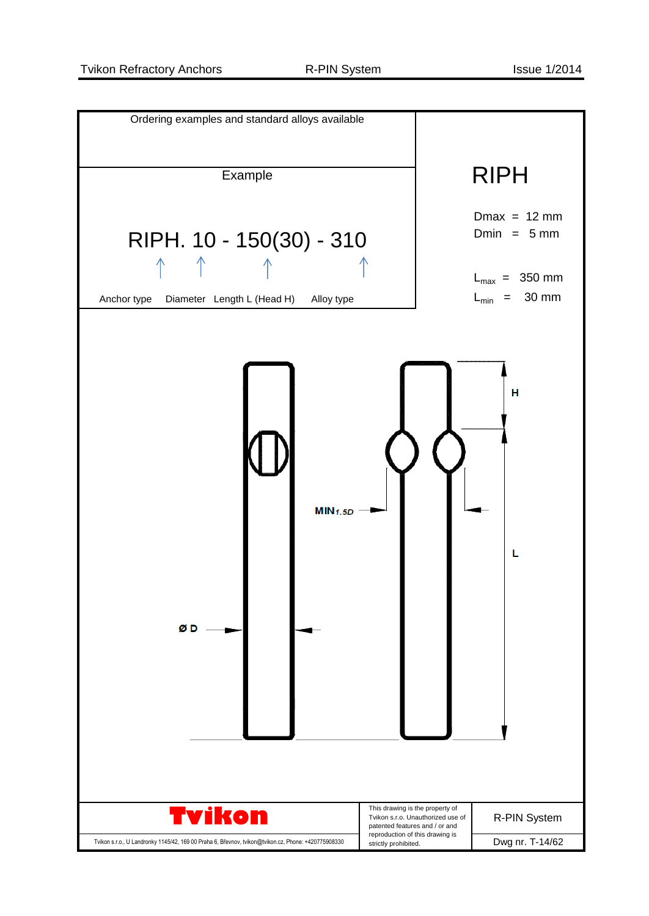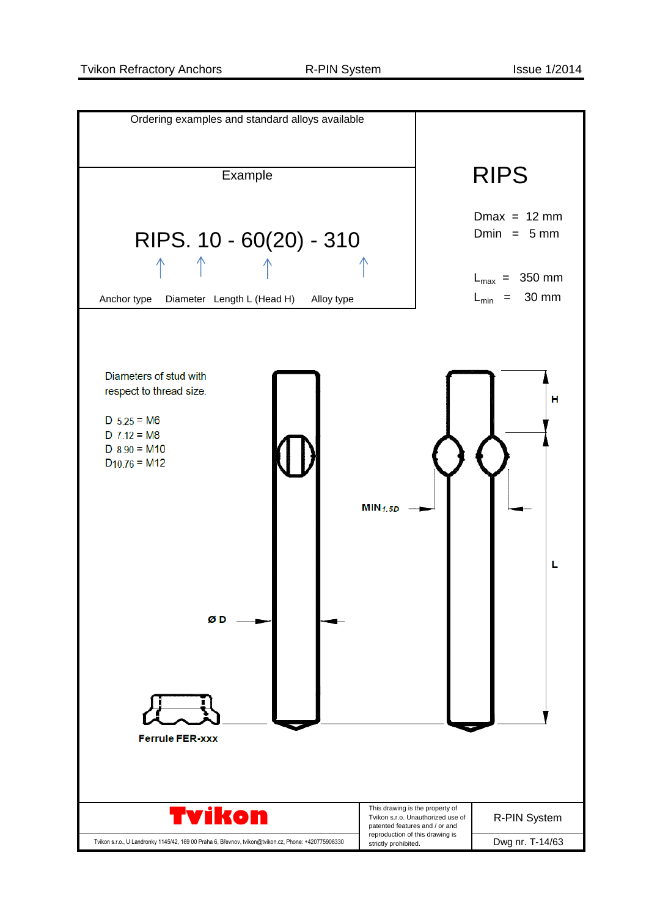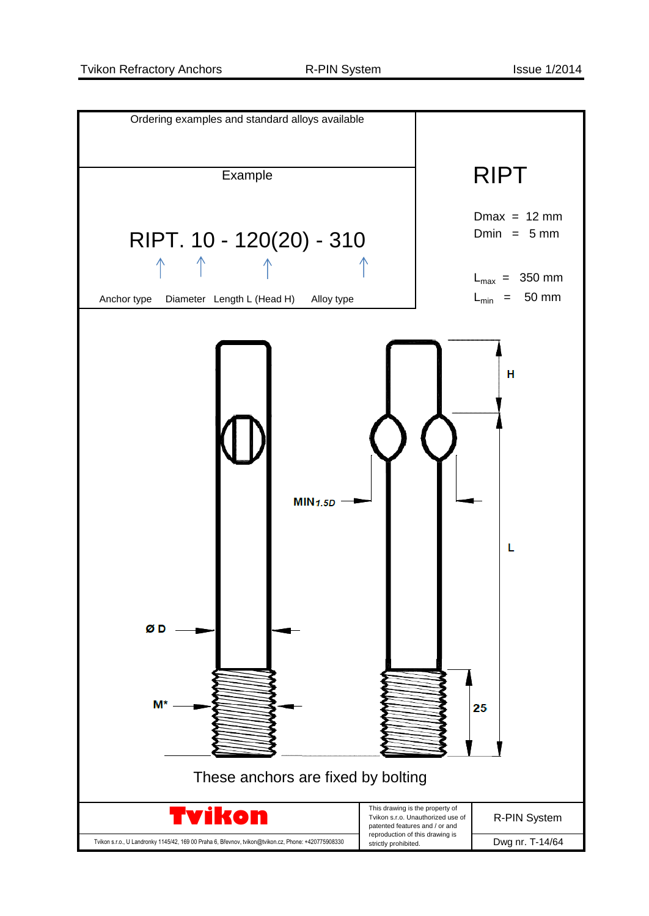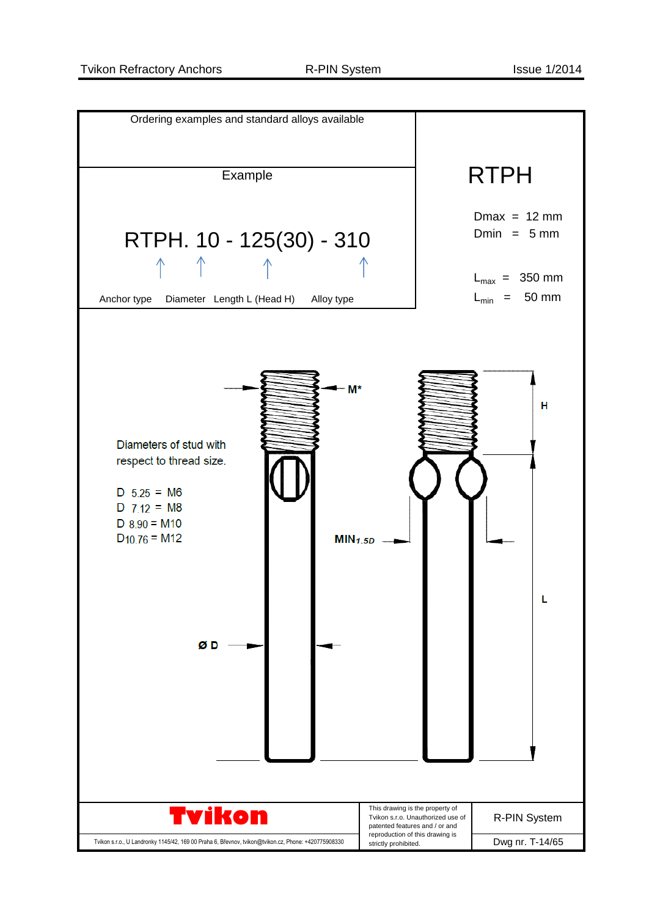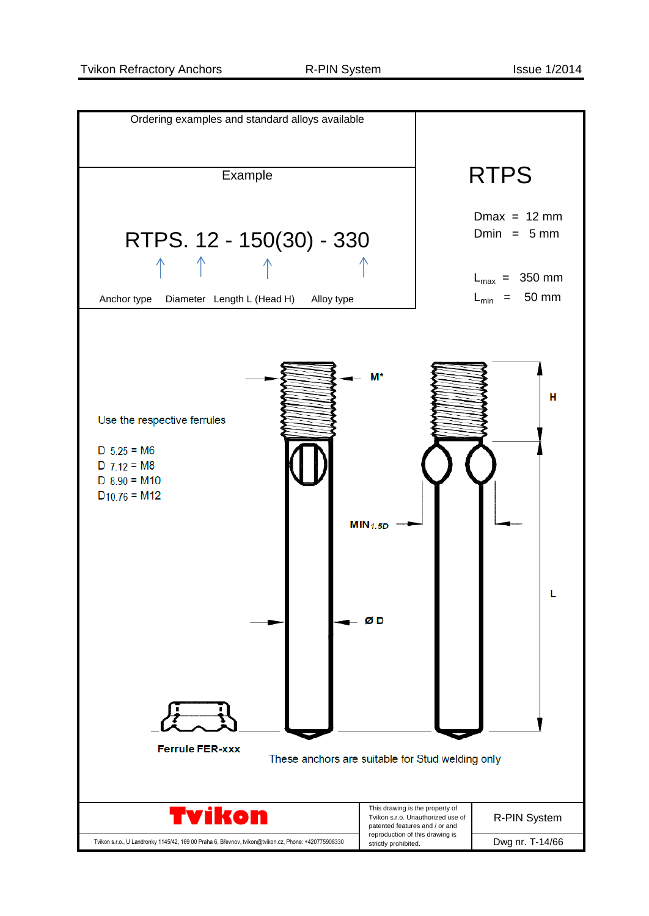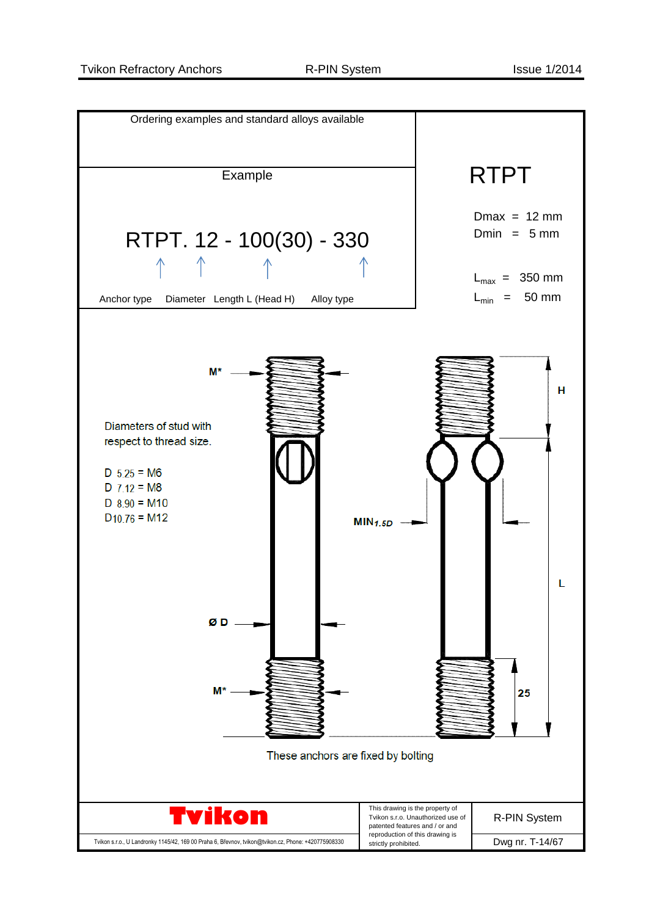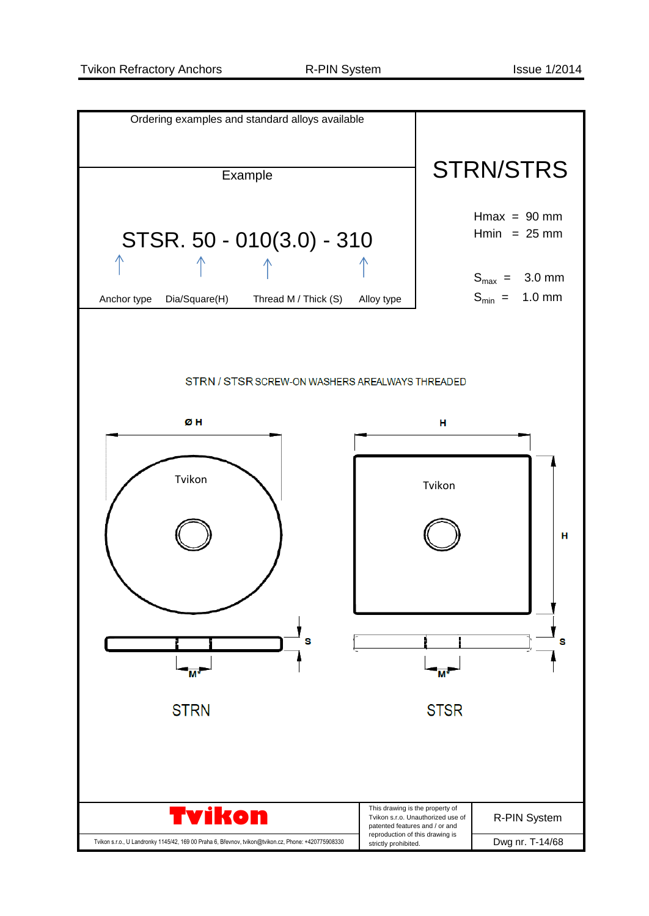